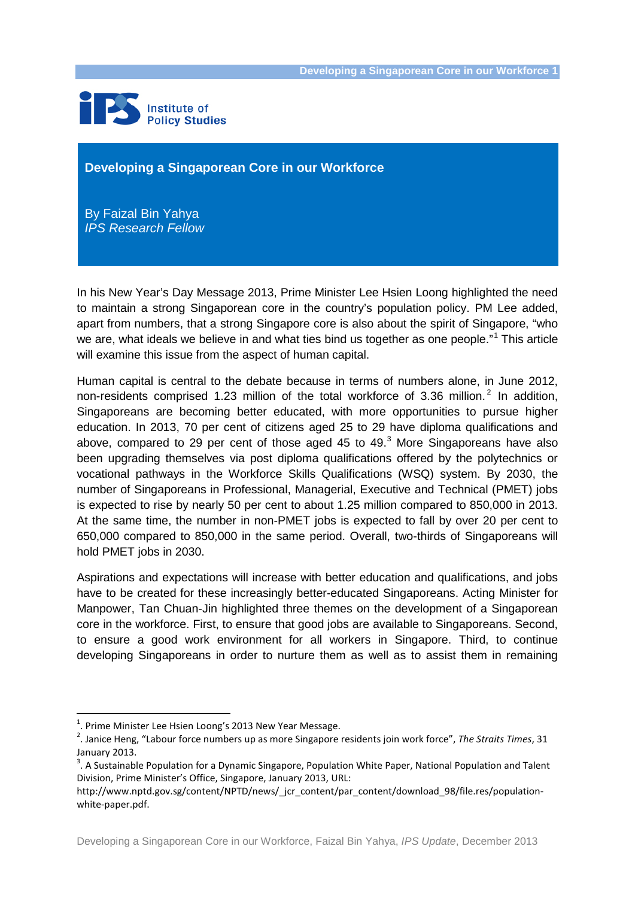

#### **Developing a Singaporean Core in our Workforce**

 By Faizal Bin Yahya  *IPS Research Fellow*

In his New Year's Day Message 2013, Prime Minister Lee Hsien Loong highlighted the need to maintain a strong Singaporean core in the country's population policy. PM Lee added, apart from numbers, that a strong Singapore core is also about the spirit of Singapore, "who we are, what ideals we believe in and what ties bind us together as one people."<sup>[1](#page-0-0)</sup> This article will examine this issue from the aspect of human capital.

Human capital is central to the debate because in terms of numbers alone, in June 2012, non-residents comprised 1.[2](#page-0-1)3 million of the total workforce of 3.36 million.<sup>2</sup> In addition, Singaporeans are becoming better educated, with more opportunities to pursue higher education. In 2013, 70 per cent of citizens aged 25 to 29 have diploma qualifications and above, compared to 29 per cent of those aged 45 to 49. $3$  More Singaporeans have also been upgrading themselves via post diploma qualifications offered by the polytechnics or vocational pathways in the Workforce Skills Qualifications (WSQ) system. By 2030, the number of Singaporeans in Professional, Managerial, Executive and Technical (PMET) jobs is expected to rise by nearly 50 per cent to about 1.25 million compared to 850,000 in 2013. At the same time, the number in non-PMET jobs is expected to fall by over 20 per cent to 650,000 compared to 850,000 in the same period. Overall, two-thirds of Singaporeans will hold PMET jobs in 2030.

Aspirations and expectations will increase with better education and qualifications, and jobs have to be created for these increasingly better-educated Singaporeans. Acting Minister for Manpower, Tan Chuan-Jin highlighted three themes on the development of a Singaporean core in the workforce. First, to ensure that good jobs are available to Singaporeans. Second, to ensure a good work environment for all workers in Singapore. Third, to continue developing Singaporeans in order to nurture them as well as to assist them in remaining

 $\frac{1}{1}$  $<sup>1</sup>$ . Prime Minister Lee Hsien Loong's 2013 New Year Message.</sup>

<span id="page-0-1"></span><span id="page-0-0"></span><sup>.</sup> Janice Heng, "Labour force numbers up as more Singapore residents join work force", *The Straits Times*, 31 January 2013.

<span id="page-0-2"></span><sup>&</sup>lt;sup>3</sup>. A Sustainable Population for a Dynamic Singapore, Population White Paper, National Population and Talent Division, Prime Minister's Office, Singapore, January 2013, URL:

http://www.nptd.gov.sg/content/NPTD/news/\_jcr\_content/par\_content/download\_98/file.res/populationwhite-paper.pdf.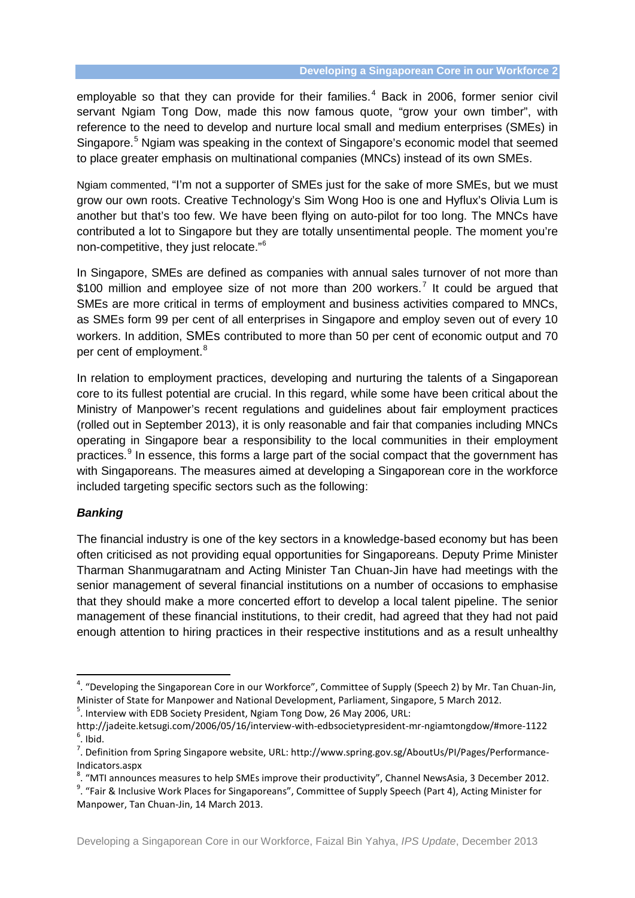employable so that they can provide for their families.<sup>[4](#page-1-0)</sup> Back in 2006, former senior civil servant Ngiam Tong Dow, made this now famous quote, "grow your own timber", with reference to the need to develop and nurture local small and medium enterprises (SMEs) in Singapore.<sup>[5](#page-1-1)</sup> Ngiam was speaking in the context of Singapore's economic model that seemed to place greater emphasis on multinational companies (MNCs) instead of its own SMEs.

Ngiam commented, "I'm not a supporter of SMEs just for the sake of more SMEs, but we must grow our own roots. Creative Technology's Sim Wong Hoo is one and Hyflux's Olivia Lum is another but that's too few. We have been flying on auto-pilot for too long. The MNCs have contributed a lot to Singapore but they are totally unsentimental people. The moment you're non-competitive, they just relocate."[6](#page-1-2)

In Singapore, SMEs are defined as companies with annual sales turnover of not more than \$100 million and employee size of not more than 200 workers.<sup>[7](#page-1-3)</sup> It could be argued that SMEs are more critical in terms of employment and business activities compared to MNCs, as SMEs form 99 per cent of all enterprises in Singapore and employ seven out of every 10 workers. In addition, SMEs contributed to more than 50 per cent of economic output and 70 per cent of employment.<sup>[8](#page-1-4)</sup>

In relation to employment practices, developing and nurturing the talents of a Singaporean core to its fullest potential are crucial. In this regard, while some have been critical about the Ministry of Manpower's recent regulations and guidelines about fair employment practices (rolled out in September 2013), it is only reasonable and fair that companies including MNCs operating in Singapore bear a responsibility to the local communities in their employment practices.<sup>[9](#page-1-5)</sup> In essence, this forms a large part of the social compact that the government has with Singaporeans. The measures aimed at developing a Singaporean core in the workforce included targeting specific sectors such as the following:

### *Banking*

The financial industry is one of the key sectors in a knowledge-based economy but has been often criticised as not providing equal opportunities for Singaporeans. Deputy Prime Minister Tharman Shanmugaratnam and Acting Minister Tan Chuan-Jin have had meetings with the senior management of several financial institutions on a number of occasions to emphasise that they should make a more concerted effort to develop a local talent pipeline. The senior management of these financial institutions, to their credit, had agreed that they had not paid enough attention to hiring practices in their respective institutions and as a result unhealthy

<span id="page-1-0"></span><sup>-&</sup>lt;br>4 . "Developing the Singaporean Core in our Workforce", Committee of Supply (Speech 2) by Mr. Tan Chuan-Jin, Minister of State for Manpower and National Development, Parliament, Singapore, 5 March 2012.

<span id="page-1-1"></span> $5$ . Interview with EDB Society President, Ngiam Tong Dow, 26 May 2006, URL:

http://jadeite.ketsugi.com/2006/05/16/interview-with-edbsocietypresident-mr-ngiamtongdow/#more-1122 <sup>6</sup>  $6.$  Ibid.

<span id="page-1-3"></span><span id="page-1-2"></span><sup>&</sup>lt;sup>7</sup>. Definition from Spring Singapore website, URL: http://www.spring.gov.sg/AboutUs/PI/Pages/Performance-Indicators.aspx

<sup>&</sup>lt;sup>8</sup>. "MTI announces measures to help SMEs improve their productivity", Channel NewsAsia, 3 December 2012.<br><sup>9</sup>. "Fair 8 Unglusius Wark Places for Singgersone", Committee of Sunnly Speech (Part 4), Asting Minister for

<span id="page-1-5"></span><span id="page-1-4"></span><sup>. &</sup>quot;Fair & Inclusive Work Places for Singaporeans", Committee of Supply Speech (Part 4), Acting Minister for Manpower, Tan Chuan-Jin, 14 March 2013.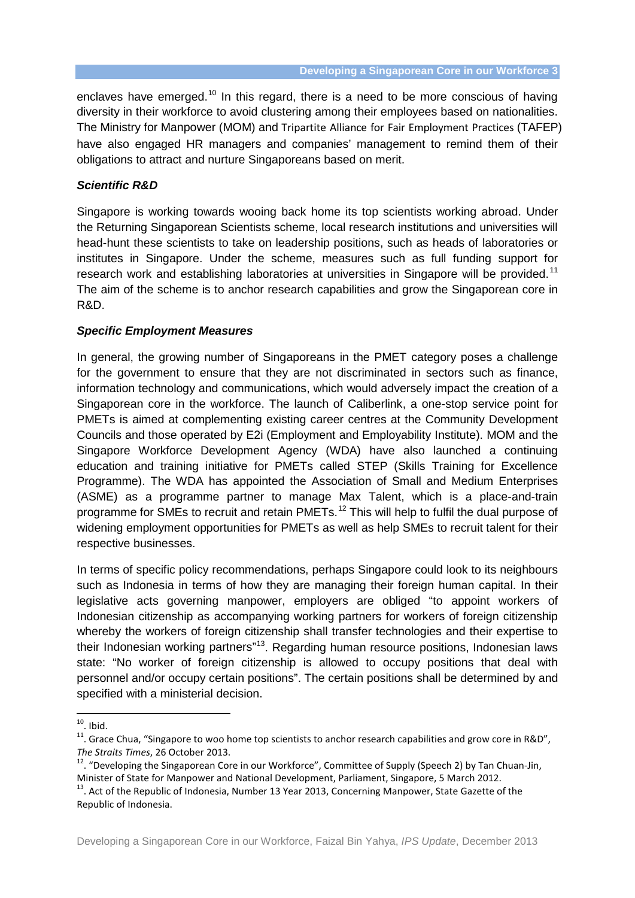enclaves have emerged.<sup>[10](#page-2-0)</sup> In this regard, there is a need to be more conscious of having diversity in their workforce to avoid clustering among their employees based on nationalities. The Ministry for Manpower (MOM) and Tripartite Alliance for Fair Employment Practices (TAFEP) have also engaged HR managers and companies' management to remind them of their obligations to attract and nurture Singaporeans based on merit.

## *Scientific R&D*

Singapore is working towards wooing back home its top scientists working abroad. Under the Returning Singaporean Scientists scheme, local research institutions and universities will head-hunt these scientists to take on leadership positions, such as heads of laboratories or institutes in Singapore. Under the scheme, measures such as full funding support for research work and establishing laboratories at universities in Singapore will be provided.<sup>[11](#page-2-1)</sup> The aim of the scheme is to anchor research capabilities and grow the Singaporean core in R&D.

# *Specific Employment Measures*

In general, the growing number of Singaporeans in the PMET category poses a challenge for the government to ensure that they are not discriminated in sectors such as finance, information technology and communications, which would adversely impact the creation of a Singaporean core in the workforce. The launch of Caliberlink, a one-stop service point for PMETs is aimed at complementing existing career centres at the Community Development Councils and those operated by E2i (Employment and Employability Institute). MOM and the Singapore Workforce Development Agency (WDA) have also launched a continuing education and training initiative for PMETs called STEP (Skills Training for Excellence Programme). The WDA has appointed the Association of Small and Medium Enterprises (ASME) as a programme partner to manage Max Talent, which is a place-and-train programme for SMEs to recruit and retain PMETs.<sup>[12](#page-2-2)</sup> This will help to fulfil the dual purpose of widening employment opportunities for PMETs as well as help SMEs to recruit talent for their respective businesses.

In terms of specific policy recommendations, perhaps Singapore could look to its neighbours such as Indonesia in terms of how they are managing their foreign human capital. In their legislative acts governing manpower, employers are obliged "to appoint workers of Indonesian citizenship as accompanying working partners for workers of foreign citizenship whereby the workers of foreign citizenship shall transfer technologies and their expertise to their Indonesian working partners"[13](#page-2-3). Regarding human resource positions, Indonesian laws state: "No worker of foreign citizenship is allowed to occupy positions that deal with personnel and/or occupy certain positions". The certain positions shall be determined by and specified with a ministerial decision.

<span id="page-2-0"></span><sup>&</sup>lt;sup>10</sup>. Ibid.<br><sup>11</sup>. Grace Chua, "Singapore to woo home top scientists to anchor research capabilities and grow core in R&D",

<span id="page-2-2"></span><span id="page-2-1"></span>*The Straits Times*, 26 October 2013.<br><sup>12</sup>. "Developing the Singaporean Core in our Workforce", Committee of Supply (Speech 2) by Tan Chuan-Jin, Minister of State for Manpower and National Development, Parliament, Singapore, 5 March 2012.

<span id="page-2-3"></span><sup>&</sup>lt;sup>13</sup>. Act of the Republic of Indonesia, Number 13 Year 2013, Concerning Manpower, State Gazette of the Republic of Indonesia.